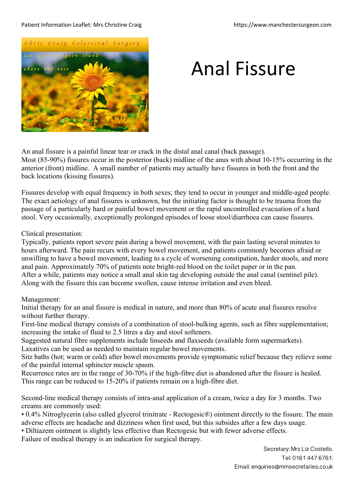## Patient Information Leaflet: Mrs Christine Craig https://www.manchestersurgeon.com



## Anal Fissure

An anal fissure is a painful linear tear or crack in the distal anal canal (back passage). Most (85-90%) fissures occur in the posterior (back) midline of the anus with about 10-15% occurring in the anterior (front) midline. A small number of patients may actually have fissures in both the front and the back locations (kissing fissures).

Fissures develop with equal frequency in both sexes; they tend to occur in younger and middle-aged people. The exact aetiology of anal fissures is unknown, but the initiating factor is thought to be trauma from the passage of a particularly hard or painful bowel movement or the rapid uncontrolled evacuation of a hard stool. Very occasionally, exceptionally prolonged episodes of loose stool/diarrhoea can cause fissures.

## Clinical presentation:

Typically, patients report severe pain during a bowel movement, with the pain lasting several minutes to hours afterward. The pain recurs with every bowel movement, and patients commonly becomes afraid or unwilling to have a bowel movement, leading to a cycle of worsening constipation, harder stools, and more anal pain. Approximately 70% of patients note bright-red blood on the toilet paper or in the pan. After a while, patients may notice a small anal skin tag developing outside the anal canal (sentinel pile). Along with the fissure this can become swollen, cause intense irritation and even bleed.

## Management:

Initial therapy for an anal fissure is medical in nature, and more than 80% of acute anal fissures resolve without further therapy.

First-line medical therapy consists of a combination of stool-bulking agents, such as fibre supplementation; increasing the intake of fluid to 2.5 litres a day and stool softeners.

Suggested natural fibre supplements include linseeds and flaxseeds (available form supermarkets). Laxatives can be used as needed to maintain regular bowel movements.

Sitz baths (hot; warm or cold) after bowel movements provide symptomatic relief because they relieve some of the painful internal sphincter muscle spasm.

Recurrence rates are in the range of 30-70% if the high-fibre diet is abandoned after the fissure is healed. This range can be reduced to 15-20% if patients remain on a high-fibre diet.

Second-line medical therapy consists of intra-anal application of a cream, twice a day for 3 months. Two creams are commonly used:

• 0.4% Nitroglycerin (also called glycerol trinitrate - Rectogesic®) ointment directly to the fissure. The main adverse effects are headache and dizziness when first used, but this subsides after a few days usage.

• Diltiazem ointment is slightly less effective than Rectogesic but with fewer adverse effects.

Failure of medical therapy is an indication for surgical therapy.

Secretary: Mrs Liz Costello. Tel: 0161 447 6761. Email: enquiries@mmsecretaries.co.uk